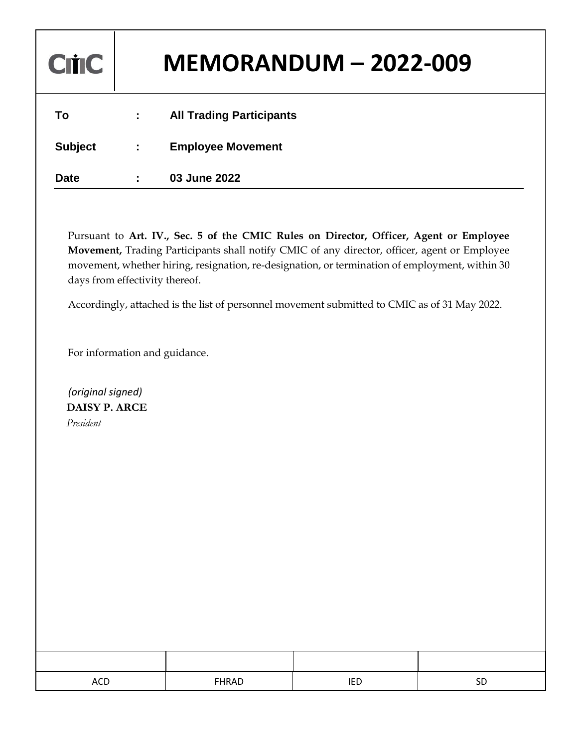| <b>Critic</b> | <b>MEMORANDUM - 2022-009</b>    |
|---------------|---------------------------------|
| Τo            | <b>All Trading Participants</b> |

| <b>Subject</b> | <b>Employee Movement</b> |
|----------------|--------------------------|
|----------------|--------------------------|

**Date : 03 June 2022**

Pursuant to **Art. IV., Sec. 5 of the CMIC Rules on Director, Officer, Agent or Employee Movement,** Trading Participants shall notify CMIC of any director, officer, agent or Employee movement, whether hiring, resignation, re-designation, or termination of employment, within 30 days from effectivity thereof.

Accordingly, attached is the list of personnel movement submitted to CMIC as of 31 May 2022.

For information and guidance.

 *(original signed)*  **DAISY P. ARCE** *President*

| $\sim$<br>ACL | FHRAD |  |
|---------------|-------|--|
|               |       |  |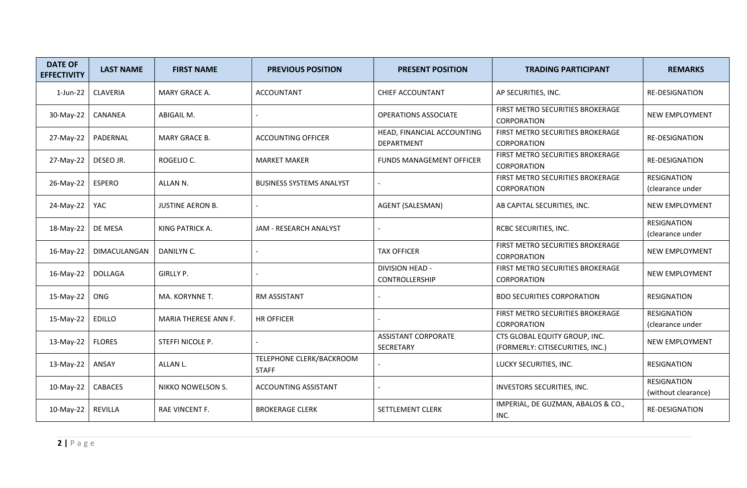| <b>DATE OF</b><br><b>EFFECTIVITY</b> | <b>LAST NAME</b> | <b>FIRST NAME</b>       | <b>PREVIOUS POSITION</b>                 | <b>PRESENT POSITION</b>                  | <b>TRADING PARTICIPANT</b>                                        | <b>REMARKS</b>                            |
|--------------------------------------|------------------|-------------------------|------------------------------------------|------------------------------------------|-------------------------------------------------------------------|-------------------------------------------|
| 1-Jun-22                             | <b>CLAVERIA</b>  | MARY GRACE A.           | <b>ACCOUNTANT</b>                        | <b>CHIEF ACCOUNTANT</b>                  | AP SECURITIES, INC.                                               | <b>RE-DESIGNATION</b>                     |
| 30-May-22                            | CANANEA          | ABIGAIL M.              |                                          | <b>OPERATIONS ASSOCIATE</b>              | FIRST METRO SECURITIES BROKERAGE<br>CORPORATION                   | NEW EMPLOYMENT                            |
| 27-May-22                            | PADERNAL         | <b>MARY GRACE B.</b>    | <b>ACCOUNTING OFFICER</b>                | HEAD, FINANCIAL ACCOUNTING<br>DEPARTMENT | FIRST METRO SECURITIES BROKERAGE<br>CORPORATION                   | RE-DESIGNATION                            |
| 27-May-22                            | DESEO JR.        | ROGELIO C.              | <b>MARKET MAKER</b>                      | <b>FUNDS MANAGEMENT OFFICER</b>          | FIRST METRO SECURITIES BROKERAGE<br>CORPORATION                   | RE-DESIGNATION                            |
| 26-May-22                            | <b>ESPERO</b>    | ALLAN <sub>N</sub> .    | <b>BUSINESS SYSTEMS ANALYST</b>          |                                          | FIRST METRO SECURITIES BROKERAGE<br>CORPORATION                   | <b>RESIGNATION</b><br>(clearance under    |
| 24-May-22                            | YAC              | <b>JUSTINE AERON B.</b> |                                          | AGENT (SALESMAN)                         | AB CAPITAL SECURITIES, INC.                                       | NEW EMPLOYMENT                            |
| 18-May-22                            | DE MESA          | KING PATRICK A.         | JAM - RESEARCH ANALYST                   |                                          | RCBC SECURITIES, INC.                                             | <b>RESIGNATION</b><br>(clearance under    |
| 16-May-22                            | DIMACULANGAN     | DANILYN C.              |                                          | <b>TAX OFFICER</b>                       | FIRST METRO SECURITIES BROKERAGE<br>CORPORATION                   | NEW EMPLOYMENT                            |
| 16-May-22                            | <b>DOLLAGA</b>   | <b>GIRLLY P.</b>        |                                          | <b>DIVISION HEAD -</b><br>CONTROLLERSHIP | FIRST METRO SECURITIES BROKERAGE<br>CORPORATION                   | NEW EMPLOYMENT                            |
| 15-May-22                            | ONG              | MA. KORYNNE T.          | <b>RM ASSISTANT</b>                      |                                          | <b>BDO SECURITIES CORPORATION</b>                                 | <b>RESIGNATION</b>                        |
| 15-May-22                            | <b>EDILLO</b>    | MARIA THERESE ANN F.    | <b>HR OFFICER</b>                        |                                          | FIRST METRO SECURITIES BROKERAGE<br><b>CORPORATION</b>            | <b>RESIGNATION</b><br>(clearance under    |
| 13-May-22                            | <b>FLORES</b>    | STEFFI NICOLE P.        |                                          | <b>ASSISTANT CORPORATE</b><br>SECRETARY  | CTS GLOBAL EQUITY GROUP, INC.<br>(FORMERLY: CITISECURITIES, INC.) | NEW EMPLOYMENT                            |
| 13-May-22                            | ANSAY            | ALLAN L.                | TELEPHONE CLERK/BACKROOM<br><b>STAFF</b> |                                          | LUCKY SECURITIES, INC.                                            | RESIGNATION                               |
| 10-May-22                            | CABACES          | NIKKO NOWELSON S.       | <b>ACCOUNTING ASSISTANT</b>              |                                          | INVESTORS SECURITIES, INC.                                        | <b>RESIGNATION</b><br>(without clearance) |
| 10-May-22                            | <b>REVILLA</b>   | RAE VINCENT F.          | <b>BROKERAGE CLERK</b>                   | SETTLEMENT CLERK                         | IMPERIAL, DE GUZMAN, ABALOS & CO.,<br>INC.                        | RE-DESIGNATION                            |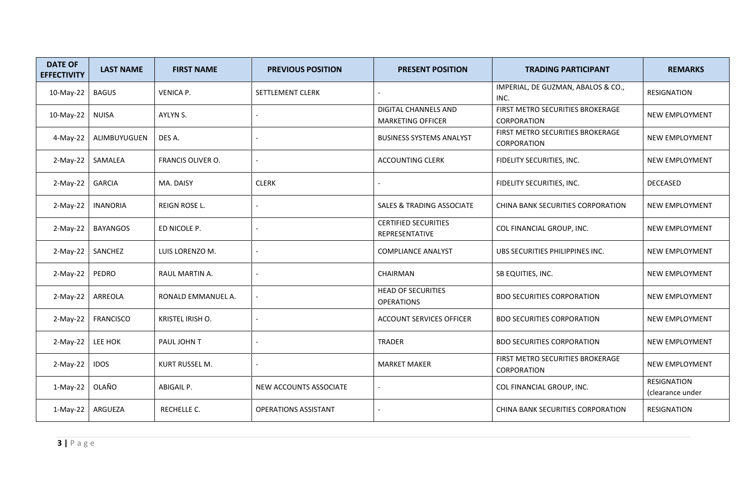| <b>DATE OF</b><br><b>EFFECTIVITY</b> | <b>LAST NAME</b> | <b>FIRST NAME</b>  | <b>PREVIOUS POSITION</b>    | <b>PRESENT POSITION</b>                          | <b>TRADING PARTICIPANT</b>                             | <b>REMARKS</b>                  |
|--------------------------------------|------------------|--------------------|-----------------------------|--------------------------------------------------|--------------------------------------------------------|---------------------------------|
| 10-May-22                            | <b>BAGUS</b>     | <b>VENICA P.</b>   | SETTLEMENT CLERK            |                                                  | IMPERIAL, DE GUZMAN, ABALOS & CO.,<br>INC.             | <b>RESIGNATION</b>              |
| 10-May-22                            | <b>NUISA</b>     | AYLYN S.           |                             | DIGITAL CHANNELS AND<br><b>MARKETING OFFICER</b> | FIRST METRO SECURITIES BROKERAGE<br><b>CORPORATION</b> | NEW EMPLOYMENT                  |
| 4-May-22                             | ALIMBUYUGUEN     | DES A.             |                             | <b>BUSINESS SYSTEMS ANALYST</b>                  | FIRST METRO SECURITIES BROKERAGE<br>CORPORATION        | NEW EMPLOYMENT                  |
| $2-May-22$                           | SAMALEA          | FRANCIS OLIVER O.  |                             | <b>ACCOUNTING CLERK</b>                          | FIDELITY SECURITIES, INC.                              | NEW EMPLOYMENT                  |
| $2-May-22$                           | <b>GARCIA</b>    | MA. DAISY          | <b>CLERK</b>                |                                                  | FIDELITY SECURITIES, INC.                              | DECEASED                        |
| $2-May-22$                           | <b>INANORIA</b>  | REIGN ROSE L.      |                             | <b>SALES &amp; TRADING ASSOCIATE</b>             | CHINA BANK SECURITIES CORPORATION                      | NEW EMPLOYMENT                  |
| $2-May-22$                           | <b>BAYANGOS</b>  | ED NICOLE P.       |                             | <b>CERTIFIED SECURITIES</b><br>REPRESENTATIVE    | COL FINANCIAL GROUP, INC.                              | NEW EMPLOYMENT                  |
| $2-May-22$                           | SANCHEZ          | LUIS LORENZO M.    |                             | <b>COMPLIANCE ANALYST</b>                        | UBS SECURITIES PHILIPPINES INC.                        | NEW EMPLOYMENT                  |
| $2-May-22$                           | PEDRO            | RAUL MARTIN A.     |                             | CHAIRMAN                                         | SB EQUITIES, INC.                                      | NEW EMPLOYMENT                  |
| $2-May-22$                           | ARREOLA          | RONALD EMMANUEL A. |                             | <b>HEAD OF SECURITIES</b><br><b>OPERATIONS</b>   | <b>BDO SECURITIES CORPORATION</b>                      | NEW EMPLOYMENT                  |
| $2-May-22$                           | <b>FRANCISCO</b> | KRISTEL IRISH O.   |                             | <b>ACCOUNT SERVICES OFFICER</b>                  | <b>BDO SECURITIES CORPORATION</b>                      | NEW EMPLOYMENT                  |
| $2-May-22$                           | LEE HOK          | PAUL JOHN T        |                             | TRADER                                           | <b>BDO SECURITIES CORPORATION</b>                      | NEW EMPLOYMENT                  |
| $2-May-22$                           | <b>IDOS</b>      | KURT RUSSEL M.     |                             | <b>MARKET MAKER</b>                              | FIRST METRO SECURITIES BROKERAGE<br>CORPORATION        | NEW EMPLOYMENT                  |
| $1-May-22$                           | OLAÑO            | ABIGAIL P.         | NEW ACCOUNTS ASSOCIATE      |                                                  | COL FINANCIAL GROUP, INC.                              | RESIGNATION<br>(clearance under |
| $1-May-22$                           | ARGUEZA          | RECHELLE C.        | <b>OPERATIONS ASSISTANT</b> |                                                  | CHINA BANK SECURITIES CORPORATION                      | <b>RESIGNATION</b>              |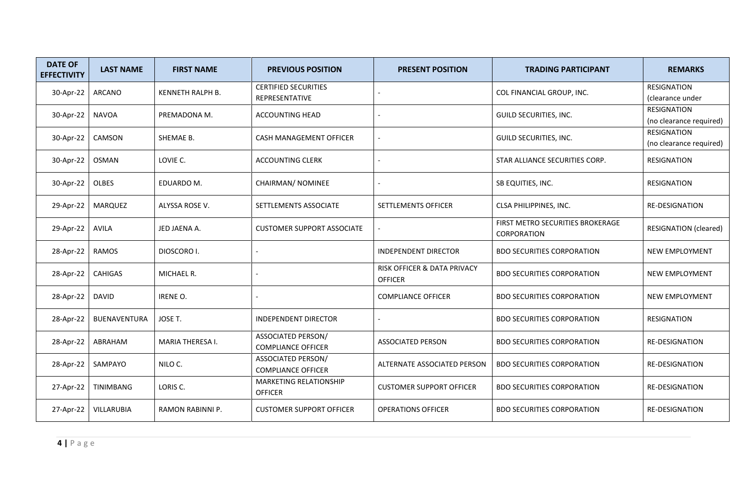| <b>DATE OF</b><br><b>EFFECTIVITY</b> | <b>LAST NAME</b>    | <b>FIRST NAME</b> | <b>PREVIOUS POSITION</b>                               | <b>PRESENT POSITION</b>                       | <b>TRADING PARTICIPANT</b>                      | <b>REMARKS</b>                                |
|--------------------------------------|---------------------|-------------------|--------------------------------------------------------|-----------------------------------------------|-------------------------------------------------|-----------------------------------------------|
| 30-Apr-22                            | ARCANO              | KENNETH RALPH B.  | <b>CERTIFIED SECURITIES</b><br>REPRESENTATIVE          |                                               | COL FINANCIAL GROUP, INC.                       | <b>RESIGNATION</b><br>(clearance under        |
| 30-Apr-22                            | <b>NAVOA</b>        | PREMADONA M.      | <b>ACCOUNTING HEAD</b>                                 |                                               | GUILD SECURITIES, INC.                          | <b>RESIGNATION</b><br>(no clearance required) |
| 30-Apr-22                            | CAMSON              | SHEMAE B.         | CASH MANAGEMENT OFFICER                                |                                               | <b>GUILD SECURITIES, INC.</b>                   | <b>RESIGNATION</b><br>(no clearance required) |
| 30-Apr-22                            | <b>OSMAN</b>        | LOVIE C.          | <b>ACCOUNTING CLERK</b>                                |                                               | STAR ALLIANCE SECURITIES CORP.                  | <b>RESIGNATION</b>                            |
| 30-Apr-22                            | <b>OLBES</b>        | EDUARDO M.        | CHAIRMAN/ NOMINEE                                      |                                               | SB EQUITIES, INC.                               | <b>RESIGNATION</b>                            |
| 29-Apr-22                            | <b>MARQUEZ</b>      | ALYSSA ROSE V.    | SETTLEMENTS ASSOCIATE                                  | SETTLEMENTS OFFICER                           | CLSA PHILIPPINES, INC.                          | RE-DESIGNATION                                |
| 29-Apr-22                            | <b>AVILA</b>        | JED JAENA A.      | <b>CUSTOMER SUPPORT ASSOCIATE</b>                      |                                               | FIRST METRO SECURITIES BROKERAGE<br>CORPORATION | <b>RESIGNATION (cleared)</b>                  |
| 28-Apr-22                            | <b>RAMOS</b>        | DIOSCORO I.       |                                                        | <b>INDEPENDENT DIRECTOR</b>                   | <b>BDO SECURITIES CORPORATION</b>               | NEW EMPLOYMENT                                |
| 28-Apr-22                            | <b>CAHIGAS</b>      | MICHAEL R.        |                                                        | RISK OFFICER & DATA PRIVACY<br><b>OFFICER</b> | <b>BDO SECURITIES CORPORATION</b>               | NEW EMPLOYMENT                                |
| 28-Apr-22                            | <b>DAVID</b>        | IRENE O.          |                                                        | <b>COMPLIANCE OFFICER</b>                     | <b>BDO SECURITIES CORPORATION</b>               | NEW EMPLOYMENT                                |
| 28-Apr-22                            | <b>BUENAVENTURA</b> | JOSE T.           | <b>INDEPENDENT DIRECTOR</b>                            |                                               | <b>BDO SECURITIES CORPORATION</b>               | <b>RESIGNATION</b>                            |
| 28-Apr-22                            | ABRAHAM             | MARIA THERESA I.  | ASSOCIATED PERSON/<br><b>COMPLIANCE OFFICER</b>        | <b>ASSOCIATED PERSON</b>                      | <b>BDO SECURITIES CORPORATION</b>               | RE-DESIGNATION                                |
| 28-Apr-22                            | SAMPAYO             | NILO C.           | <b>ASSOCIATED PERSON/</b><br><b>COMPLIANCE OFFICER</b> | ALTERNATE ASSOCIATED PERSON                   | <b>BDO SECURITIES CORPORATION</b>               | RE-DESIGNATION                                |
| 27-Apr-22                            | <b>TINIMBANG</b>    | LORIS C.          | MARKETING RELATIONSHIP<br><b>OFFICER</b>               | <b>CUSTOMER SUPPORT OFFICER</b>               | <b>BDO SECURITIES CORPORATION</b>               | RE-DESIGNATION                                |
| 27-Apr-22                            | VILLARUBIA          | RAMON RABINNI P.  | <b>CUSTOMER SUPPORT OFFICER</b>                        | <b>OPERATIONS OFFICER</b>                     | <b>BDO SECURITIES CORPORATION</b>               | RE-DESIGNATION                                |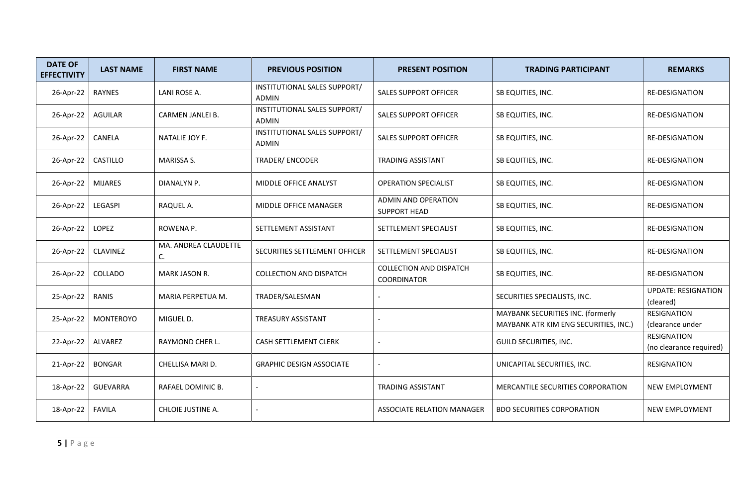| <b>DATE OF</b><br><b>EFFECTIVITY</b> | <b>LAST NAME</b> | <b>FIRST NAME</b>          | <b>PREVIOUS POSITION</b>                     | <b>PRESENT POSITION</b>                              | <b>TRADING PARTICIPANT</b>                                                 | <b>REMARKS</b>                          |
|--------------------------------------|------------------|----------------------------|----------------------------------------------|------------------------------------------------------|----------------------------------------------------------------------------|-----------------------------------------|
| 26-Apr-22                            | <b>RAYNES</b>    | LANI ROSE A.               | INSTITUTIONAL SALES SUPPORT/<br><b>ADMIN</b> | <b>SALES SUPPORT OFFICER</b>                         | SB EQUITIES, INC.                                                          | <b>RE-DESIGNATION</b>                   |
| 26-Apr-22                            | <b>AGUILAR</b>   | CARMEN JANLEI B.           | INSTITUTIONAL SALES SUPPORT/<br><b>ADMIN</b> | <b>SALES SUPPORT OFFICER</b>                         | SB EQUITIES, INC.                                                          | RE-DESIGNATION                          |
| 26-Apr-22                            | CANELA           | NATALIE JOY F.             | INSTITUTIONAL SALES SUPPORT/<br><b>ADMIN</b> | <b>SALES SUPPORT OFFICER</b>                         | SB EQUITIES, INC.                                                          | RE-DESIGNATION                          |
| 26-Apr-22                            | CASTILLO         | <b>MARISSA S.</b>          | TRADER/ENCODER                               | <b>TRADING ASSISTANT</b>                             | SB EQUITIES, INC.                                                          | <b>RE-DESIGNATION</b>                   |
| 26-Apr-22                            | <b>MIJARES</b>   | DIANALYN P.                | MIDDLE OFFICE ANALYST                        | <b>OPERATION SPECIALIST</b>                          | SB EQUITIES, INC.                                                          | RE-DESIGNATION                          |
| 26-Apr-22                            | LEGASPI          | RAQUEL A.                  | MIDDLE OFFICE MANAGER                        | <b>ADMIN AND OPERATION</b><br><b>SUPPORT HEAD</b>    | SB EQUITIES, INC.                                                          | RE-DESIGNATION                          |
| 26-Apr-22                            | LOPEZ            | ROWENA P.                  | SETTLEMENT ASSISTANT                         | SETTLEMENT SPECIALIST                                | SB EQUITIES, INC.                                                          | RE-DESIGNATION                          |
| 26-Apr-22                            | <b>CLAVINEZ</b>  | MA. ANDREA CLAUDETTE<br>C. | SECURITIES SETTLEMENT OFFICER                | SETTLEMENT SPECIALIST                                | SB EQUITIES, INC.                                                          | RE-DESIGNATION                          |
| 26-Apr-22                            | COLLADO          | <b>MARK JASON R.</b>       | <b>COLLECTION AND DISPATCH</b>               | <b>COLLECTION AND DISPATCH</b><br><b>COORDINATOR</b> | SB EQUITIES, INC.                                                          | <b>RE-DESIGNATION</b>                   |
| 25-Apr-22                            | RANIS            | MARIA PERPETUA M.          | TRADER/SALESMAN                              |                                                      | SECURITIES SPECIALISTS, INC.                                               | <b>UPDATE: RESIGNATION</b><br>(cleared) |
| 25-Apr-22                            | <b>MONTEROYO</b> | MIGUEL D.                  | <b>TREASURY ASSISTANT</b>                    |                                                      | MAYBANK SECURITIES INC. (formerly<br>MAYBANK ATR KIM ENG SECURITIES, INC.) | <b>RESIGNATION</b><br>(clearance under  |
| 22-Apr-22                            | ALVAREZ          | RAYMOND CHER L.            | <b>CASH SETTLEMENT CLERK</b>                 |                                                      | GUILD SECURITIES, INC.                                                     | RESIGNATION<br>(no clearance required)  |
| 21-Apr-22                            | <b>BONGAR</b>    | CHELLISA MARI D.           | <b>GRAPHIC DESIGN ASSOCIATE</b>              |                                                      | UNICAPITAL SECURITIES, INC.                                                | RESIGNATION                             |
| 18-Apr-22                            | <b>GUEVARRA</b>  | RAFAEL DOMINIC B.          |                                              | <b>TRADING ASSISTANT</b>                             | MERCANTILE SECURITIES CORPORATION                                          | NEW EMPLOYMENT                          |
| 18-Apr-22                            | <b>FAVILA</b>    | CHLOIE JUSTINE A.          |                                              | ASSOCIATE RELATION MANAGER                           | <b>BDO SECURITIES CORPORATION</b>                                          | NEW EMPLOYMENT                          |